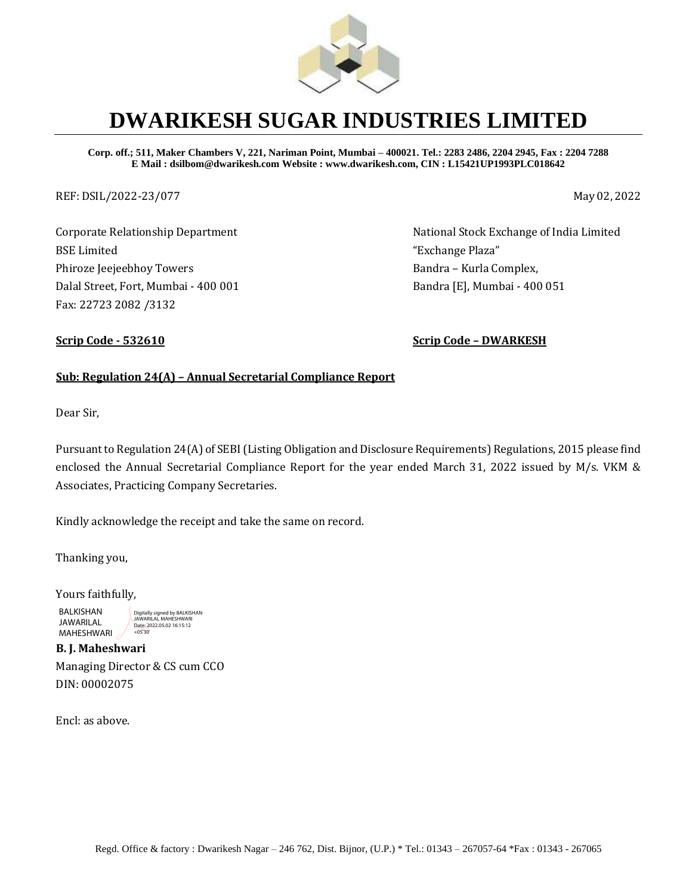

# **DWARIKESH SUGAR INDUSTRIES LIMITED**

**Corp. off.; 511, Maker Chambers V, 221, Nariman Point, Mumbai – 400021. Tel.: 2283 2486, 2204 2945, Fax : 2204 7288 E Mail : dsilbom@dwarikesh.com Website : www.dwarikesh.com, CIN : L15421UP1993PLC018642**

REF: DSIL/2022-23/077 May 02, 2022

Corporate Relationship Department BSE Limited Phiroze Jeejeebhoy Towers Dalal Street, Fort, Mumbai - 400 001 Fax: 22723 2082 /3132

National Stock Exchange of India Limited "Exchange Plaza" Bandra – Kurla Complex, Bandra [E], Mumbai - 400 051

**Scrip Code - 532610 Scrip Code – DWARKESH**

### **Sub: Regulation 24(A) – Annual Secretarial Compliance Report**

Dear Sir,

Pursuant to Regulation 24(A) of SEBI (Listing Obligation and Disclosure Requirements) Regulations, 2015 please find enclosed the Annual Secretarial Compliance Report for the year ended March 31, 2022 issued by M/s. VKM & Associates, Practicing Company Secretaries.

Kindly acknowledge the receipt and take the same on record.

Thanking you,

Yours faithfully, BALKISHAN JAWARILAL MAHESHWARI Digitally signed by BALKISHAN JAWARILAL MAHESHWARI Date: 2022.05.02 16:15:12 +05'30'

**B. J. Maheshwari**  Managing Director & CS cum CCO DIN: 00002075

Encl: as above.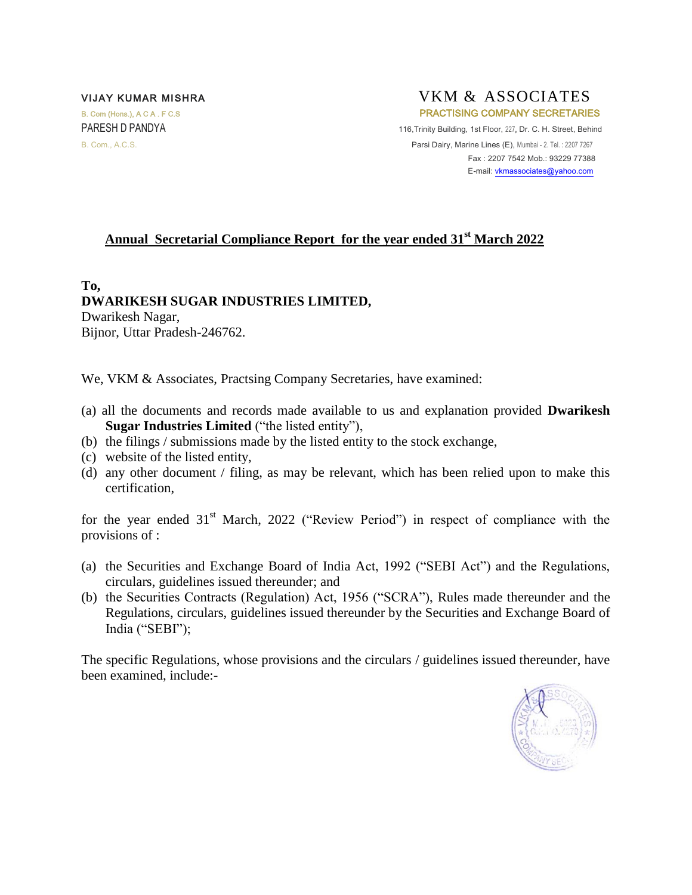#### VIJAY KUMAR MISHRA VITALLER VKM & ASSOCIATES B. Com (Hons.), A C A . F C.S **PRACTISING COMPANY SECRETARIES** PARESH D PANDYA 116,Trinity Building, 1st Floor, 227, Dr. C. H. Street, Behind B. Com., A.C.S. **Parsi Dairy, Marine Lines (E), Mumbai - 2. Tel. : 2207 7267**  Fax : 2207 7542 Mob.: 93229 77388 E-mail[: vkmassociates@yahoo.com](mailto:vkmassociates@yahoo.com)

## **Annual Secretarial Compliance Report for the year ended 31st March 2022**

**To, DWARIKESH SUGAR INDUSTRIES LIMITED,** Dwarikesh Nagar,

Bijnor, Uttar Pradesh-246762.

We, VKM & Associates, Practsing Company Secretaries, have examined:

- (a) all the documents and records made available to us and explanation provided **Dwarikesh Sugar Industries Limited** ("the listed entity"),
- (b) the filings / submissions made by the listed entity to the stock exchange,
- (c) website of the listed entity,
- (d) any other document / filing, as may be relevant, which has been relied upon to make this certification,

for the year ended  $31<sup>st</sup>$  March, 2022 ("Review Period") in respect of compliance with the provisions of :

- (a) the Securities and Exchange Board of India Act, 1992 ("SEBI Act") and the Regulations, circulars, guidelines issued thereunder; and
- (b) the Securities Contracts (Regulation) Act, 1956 ("SCRA"), Rules made thereunder and the Regulations, circulars, guidelines issued thereunder by the Securities and Exchange Board of India ("SEBI");

The specific Regulations, whose provisions and the circulars / guidelines issued thereunder, have been examined, include:-

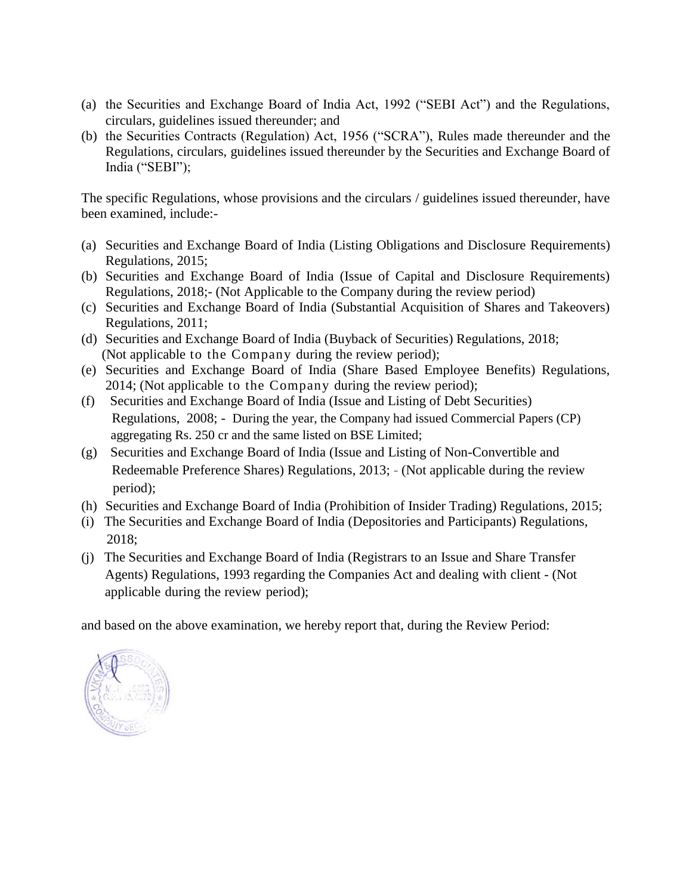- (a) the Securities and Exchange Board of India Act, 1992 ("SEBI Act") and the Regulations, circulars, guidelines issued thereunder; and
- (b) the Securities Contracts (Regulation) Act, 1956 ("SCRA"), Rules made thereunder and the Regulations, circulars, guidelines issued thereunder by the Securities and Exchange Board of India ("SEBI");

The specific Regulations, whose provisions and the circulars / guidelines issued thereunder, have been examined, include:-

- (a) Securities and Exchange Board of India (Listing Obligations and Disclosure Requirements) Regulations, 2015;
- (b) Securities and Exchange Board of India (Issue of Capital and Disclosure Requirements) Regulations, 2018;- (Not Applicable to the Company during the review period)
- (c) Securities and Exchange Board of India (Substantial Acquisition of Shares and Takeovers) Regulations, 2011;
- (d) Securities and Exchange Board of India (Buyback of Securities) Regulations, 2018; (Not applicable to the Company during the review period);
- (e) Securities and Exchange Board of India (Share Based Employee Benefits) Regulations, 2014; (Not applicable to the Company during the review period);
- (f) Securities and Exchange Board of India (Issue and Listing of Debt Securities) Regulations, 2008; - During the year, the Company had issued Commercial Papers (CP) aggregating Rs. 250 cr and the same listed on BSE Limited;
- (g) Securities and Exchange Board of India (Issue and Listing of Non-Convertible and Redeemable Preference Shares) Regulations, 2013; - (Not applicable during the review period);
- (h) Securities and Exchange Board of India (Prohibition of Insider Trading) Regulations, 2015;
- (i) The Securities and Exchange Board of India (Depositories and Participants) Regulations, 2018;
- (j) The Securities and Exchange Board of India (Registrars to an Issue and Share Transfer Agents) Regulations, 1993 regarding the Companies Act and dealing with client - (Not applicable during the review period);

and based on the above examination, we hereby report that, during the Review Period:

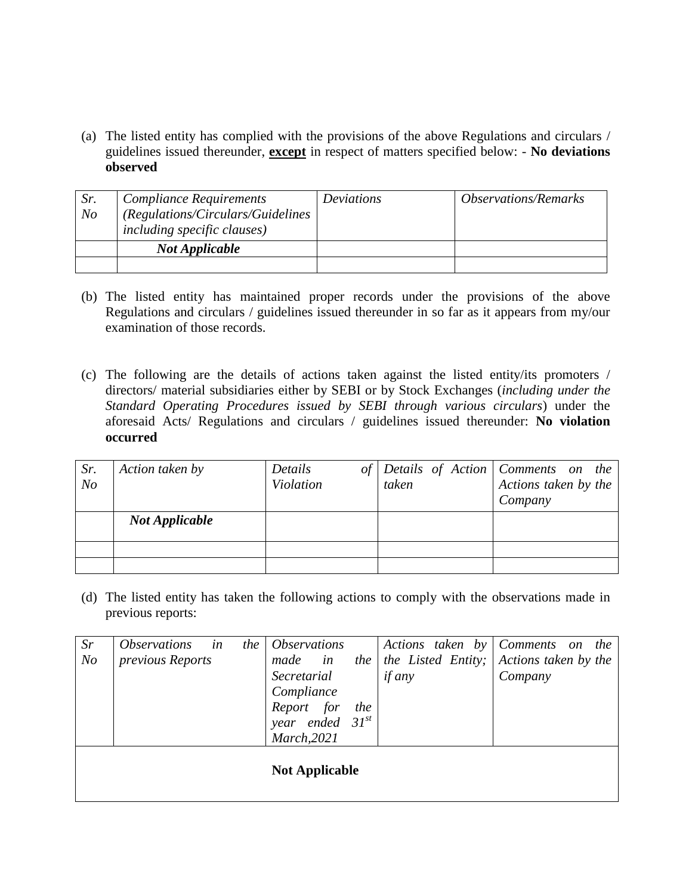(a) The listed entity has complied with the provisions of the above Regulations and circulars / guidelines issued thereunder, **except** in respect of matters specified below: - **No deviations observed**

| Sr.<br>N <sub>O</sub> | <b>Compliance Requirements</b><br>(Regulations/Circulars/Guidelines<br><i>including specific clauses</i> ) | Deviations | <i><b>Observations/Remarks</b></i> |
|-----------------------|------------------------------------------------------------------------------------------------------------|------------|------------------------------------|
|                       | <b>Not Applicable</b>                                                                                      |            |                                    |
|                       |                                                                                                            |            |                                    |

- (b) The listed entity has maintained proper records under the provisions of the above Regulations and circulars / guidelines issued thereunder in so far as it appears from my/our examination of those records.
- (c) The following are the details of actions taken against the listed entity/its promoters / directors/ material subsidiaries either by SEBI or by Stock Exchanges (*including under the Standard Operating Procedures issued by SEBI through various circulars*) under the aforesaid Acts/ Regulations and circulars / guidelines issued thereunder: **No violation occurred**

| Sr.<br>N <sub>o</sub> | Action taken by       | Details<br>of<br><b>Violation</b> | taken | Details of Action   Comments on the<br>Actions taken by the<br>Company |
|-----------------------|-----------------------|-----------------------------------|-------|------------------------------------------------------------------------|
|                       | <b>Not Applicable</b> |                                   |       |                                                                        |
|                       |                       |                                   |       |                                                                        |
|                       |                       |                                   |       |                                                                        |

(d) The listed entity has taken the following actions to comply with the observations made in previous reports:

| Sr                    | <i><b>Observations</b></i> | in<br>the | <i><b>Observations</b></i> |                 |     |               |                    |  | Actions taken by Comments on the |  |
|-----------------------|----------------------------|-----------|----------------------------|-----------------|-----|---------------|--------------------|--|----------------------------------|--|
| N <sub>o</sub>        | previous Reports           |           | made                       | in              | the |               | the Listed Entity; |  | Actions taken by the             |  |
|                       |                            |           | Secretarial                |                 |     | <i>if any</i> |                    |  | Company                          |  |
|                       |                            |           | Compliance                 |                 |     |               |                    |  |                                  |  |
|                       |                            |           | Report for                 |                 | the |               |                    |  |                                  |  |
|                       |                            |           | year                       | ended $31^{st}$ |     |               |                    |  |                                  |  |
|                       |                            |           | March, 2021                |                 |     |               |                    |  |                                  |  |
| <b>Not Applicable</b> |                            |           |                            |                 |     |               |                    |  |                                  |  |